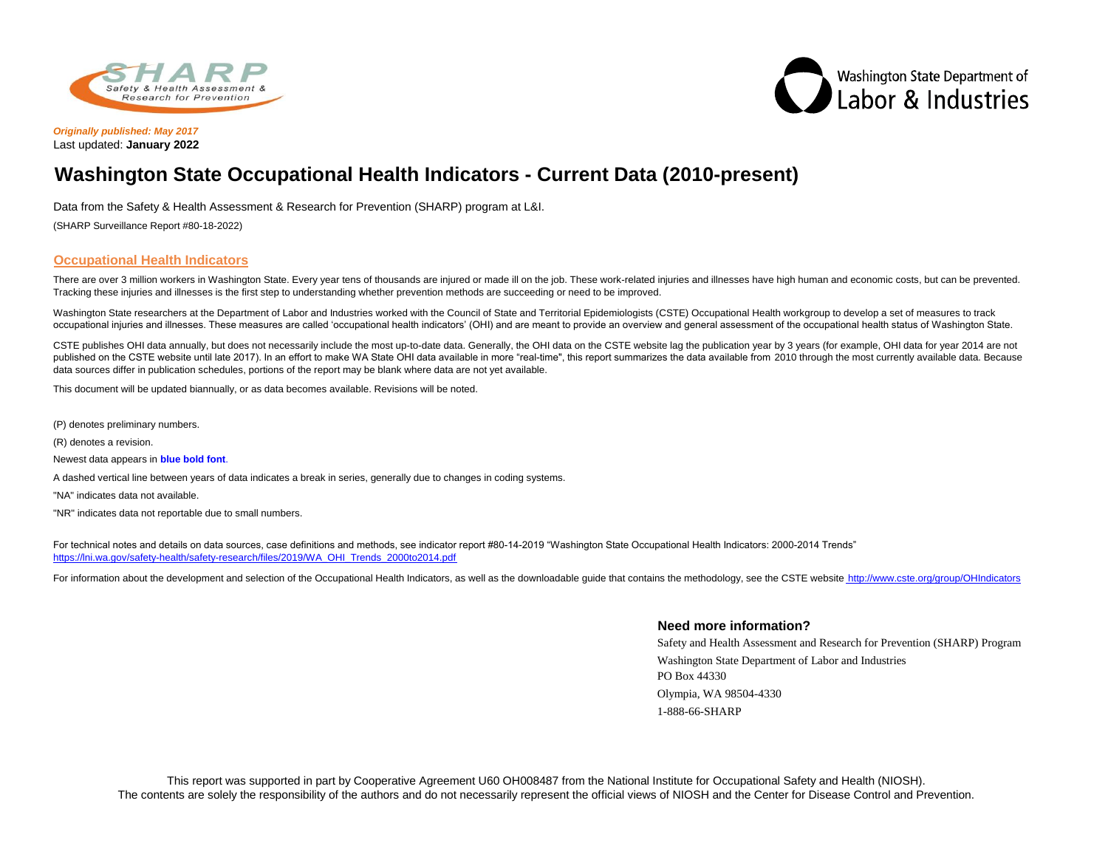



*Originally published: May 2017* Last updated: **January 2022**

## **Washington State Occupational Health Indicators - Current Data (2010-present)**

Data from the Safety & Health Assessment & Research for Prevention (SHARP) program at L&I.

(SHARP Surveillance Report #80-18-2022)

## **Occupational Health Indicators**

There are over 3 million workers in Washington State. Every year tens of thousands are injured or made ill on the job. These work-related injuries and illnesses have high human and economic costs, but can be prevented. Tracking these injuries and illnesses is the first step to understanding whether prevention methods are succeeding or need to be improved.

Washington State researchers at the Department of Labor and Industries worked with the Council of State and Territorial Epidemiologists (CSTE) Occupational Health workgroup to develop a set of measures to track occupational injuries and illnesses. These measures are called 'occupational health indicators' (OHI) and are meant to provide an overview and general assessment of the occupational health status of Washington State.

CSTE publishes OHI data annually, but does not necessarily include the most up-to-date data. Generally, the OHI data on the CSTE website lag the publication year by 3 years (for example, OHI data for year 2014 are not published on the CSTE website until late 2017). In an effort to make WA State OHI data available in more "real-time", this report summarizes the data available from 2010 through the most currently available data. Because data sources differ in publication schedules, portions of the report may be blank where data are not yet available.

This document will be updated biannually, or as data becomes available. Revisions will be noted.

(P) denotes preliminary numbers.

(R) denotes a revision.

Newest data appears in **blue bold font**.

A dashed vertical line between years of data indicates a break in series, generally due to changes in coding systems.

"NA" indicates data not available.

"NR" indicates data not reportable due to small numbers.

[For technical notes and details on data sources, c](https://lni.wa.gov/safety-health/safety-research/files/2019/WA_OHI_Trends_2000to2014.pdf)ase definitions and methods, see indicator report #80-14-2019 "Washington State Occupational Health Indicators: 2000-2014 Trends" [https://lni.wa.gov/safety-health/safety-research/fil](https://lni.wa.gov/safety-health/safety-research/files/2019/WA_OHI_Trends_2000to2014.pdf)es/2019/WA\_OHI\_Trends\_2000to2014.pdf

[For information about the development and selection of the Occupational Health Indicators, as well as the downloadable guide that contains the methodology, see the CSTE website http://www.cste.org/group/OHIndicators](http://www.cste.org/group/OHIndicators)

## **Need more information?**

Safety and Health Assessment and Research for Prevention (SHARP) Program Washington State Department of Labor and Industries PO Box 44330 Olympia, WA 98504-4330 1-888-66-SHARP

This report was supported in part by Cooperative Agreement U60 OH008487 from the National Institute for Occupational Safety and Health (NIOSH). The contents are solely the responsibility of the authors and do not necessarily represent the official views of NIOSH and the Center for Disease Control and Prevention.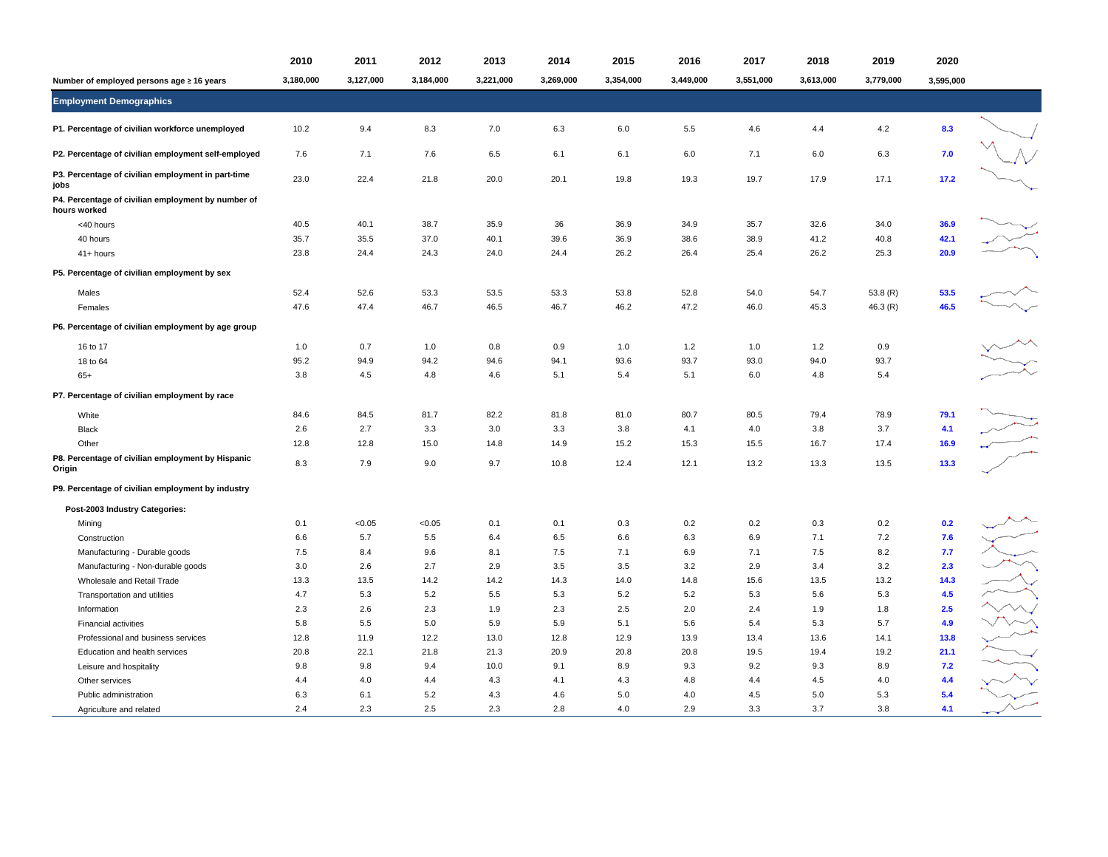|                                                                    | 2010      | 2011      | 2012      | 2013      | 2014      | 2015      | 2016      | 2017      | 2018      | 2019       | 2020      |  |
|--------------------------------------------------------------------|-----------|-----------|-----------|-----------|-----------|-----------|-----------|-----------|-----------|------------|-----------|--|
| Number of employed persons age ≥ 16 years                          | 3,180,000 | 3,127,000 | 3,184,000 | 3,221,000 | 3,269,000 | 3,354,000 | 3,449,000 | 3,551,000 | 3,613,000 | 3,779,000  | 3,595,000 |  |
| <b>Employment Demographics</b>                                     |           |           |           |           |           |           |           |           |           |            |           |  |
| P1. Percentage of civilian workforce unemployed                    | 10.2      | 9.4       | 8.3       | 7.0       | 6.3       | 6.0       | 5.5       | 4.6       | 4.4       | 4.2        | 8.3       |  |
| P2. Percentage of civilian employment self-employed                | 7.6       | 7.1       | 7.6       | 6.5       | 6.1       | 6.1       | 6.0       | 7.1       | 6.0       | 6.3        | 7.0       |  |
| P3. Percentage of civilian employment in part-time<br>jobs         | 23.0      | 22.4      | 21.8      | 20.0      | 20.1      | 19.8      | 19.3      | 19.7      | 17.9      | 17.1       | 17.2      |  |
| P4. Percentage of civilian employment by number of<br>hours worked |           |           |           |           |           |           |           |           |           |            |           |  |
| <40 hours                                                          | 40.5      | 40.1      | 38.7      | 35.9      | 36        | 36.9      | 34.9      | 35.7      | 32.6      | 34.0       | 36.9      |  |
| 40 hours                                                           | 35.7      | 35.5      | 37.0      | 40.1      | 39.6      | 36.9      | 38.6      | 38.9      | 41.2      | 40.8       | 42.1      |  |
| 41+ hours                                                          | 23.8      | 24.4      | 24.3      | 24.0      | 24.4      | 26.2      | 26.4      | 25.4      | 26.2      | 25.3       | 20.9      |  |
| P5. Percentage of civilian employment by sex                       |           |           |           |           |           |           |           |           |           |            |           |  |
| Males                                                              | 52.4      | 52.6      | 53.3      | 53.5      | 53.3      | 53.8      | 52.8      | 54.0      | 54.7      | 53.8 $(R)$ | 53.5      |  |
| Females                                                            | 47.6      | 47.4      | 46.7      | 46.5      | 46.7      | 46.2      | 47.2      | 46.0      | 45.3      | 46.3 (R)   | 46.5      |  |
| P6. Percentage of civilian employment by age group                 |           |           |           |           |           |           |           |           |           |            |           |  |
| 16 to 17                                                           | 1.0       | 0.7       | 1.0       | 0.8       | 0.9       | 1.0       | 1.2       | 1.0       | 1.2       | 0.9        |           |  |
| 18 to 64                                                           | 95.2      | 94.9      | 94.2      | 94.6      | 94.1      | 93.6      | 93.7      | 93.0      | 94.0      | 93.7       |           |  |
| $65+$                                                              | 3.8       | 4.5       | 4.8       | 4.6       | 5.1       | 5.4       | 5.1       | 6.0       | 4.8       | 5.4        |           |  |
| P7. Percentage of civilian employment by race                      |           |           |           |           |           |           |           |           |           |            |           |  |
| White                                                              | 84.6      | 84.5      | 81.7      | 82.2      | 81.8      | 81.0      | 80.7      | 80.5      | 79.4      | 78.9       | 79.1      |  |
| <b>Black</b>                                                       | 2.6       | 2.7       | 3.3       | 3.0       | 3.3       | 3.8       | 4.1       | 4.0       | 3.8       | 3.7        | 4.1       |  |
| Other                                                              | 12.8      | 12.8      | 15.0      | 14.8      | 14.9      | 15.2      | 15.3      | 15.5      | 16.7      | 17.4       | 16.9      |  |
| P8. Percentage of civilian employment by Hispanic<br>Origin        | 8.3       | 7.9       | 9.0       | 9.7       | 10.8      | 12.4      | 12.1      | 13.2      | 13.3      | 13.5       | 13.3      |  |
| P9. Percentage of civilian employment by industry                  |           |           |           |           |           |           |           |           |           |            |           |  |
| Post-2003 Industry Categories:                                     |           |           |           |           |           |           |           |           |           |            |           |  |
| Mining                                                             | 0.1       | < 0.05    | < 0.05    | 0.1       | 0.1       | 0.3       | 0.2       | 0.2       | 0.3       | 0.2        | 0.2       |  |
| Construction                                                       | 6.6       | 5.7       | 5.5       | 6.4       | 6.5       | 6.6       | 6.3       | 6.9       | 7.1       | 7.2        | 7.6       |  |
| Manufacturing - Durable goods                                      | 7.5       | 8.4       | 9.6       | 8.1       | 7.5       | 7.1       | 6.9       | 7.1       | 7.5       | 8.2        | 7.7       |  |
| Manufacturing - Non-durable goods                                  | 3.0       | 2.6       | 2.7       | 2.9       | 3.5       | 3.5       | 3.2       | 2.9       | 3.4       | 3.2        | 2.3       |  |
| Wholesale and Retail Trade                                         | 13.3      | 13.5      | 14.2      | 14.2      | 14.3      | 14.0      | 14.8      | 15.6      | 13.5      | 13.2       | 14.3      |  |
| Transportation and utilities                                       | 4.7       | 5.3       | 5.2       | 5.5       | 5.3       | 5.2       | 5.2       | 5.3       | 5.6       | 5.3        | 4.5       |  |
| Information                                                        | 2.3       | 2.6       | 2.3       | 1.9       | 2.3       | 2.5       | 2.0       | 2.4       | 1.9       | 1.8        | 2.5       |  |
| <b>Financial activities</b>                                        | 5.8       | 5.5       | 5.0       | 5.9       | 5.9       | 5.1       | 5.6       | 5.4       | 5.3       | 5.7        | 4.9       |  |
| Professional and business services                                 | 12.8      | 11.9      | 12.2      | 13.0      | 12.8      | 12.9      | 13.9      | 13.4      | 13.6      | 14.1       | 13.8      |  |
| Education and health services                                      | 20.8      | 22.1      | 21.8      | 21.3      | 20.9      | 20.8      | 20.8      | 19.5      | 19.4      | 19.2       | 21.1      |  |
| Leisure and hospitality                                            | 9.8       | 9.8       | 9.4       | 10.0      | 9.1       | 8.9       | 9.3       | 9.2       | 9.3       | 8.9        | 7.2       |  |
| Other services                                                     | 4.4       | 4.0       | 4.4       | 4.3       | 4.1       | 4.3       | 4.8       | 4.4       | 4.5       | 4.0        | 4.4       |  |
| Public administration                                              | 6.3       | 6.1       | 5.2       | 4.3       | 4.6       | 5.0       | 4.0       | 4.5       | 5.0       | 5.3        | 5.4       |  |
| Agriculture and related                                            | 2.4       | 2.3       | 2.5       | 2.3       | 2.8       | 4.0       | 2.9       | 3.3       | 3.7       | 3.8        | 4.1       |  |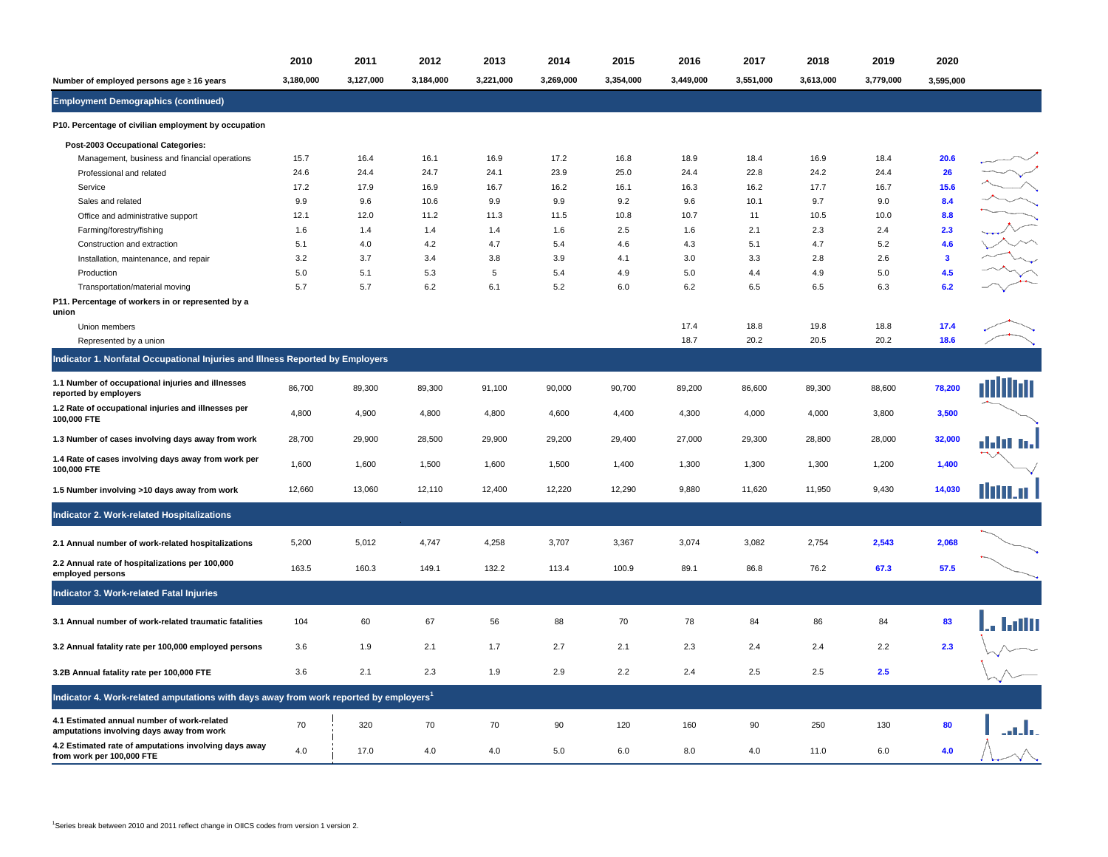|                                                                                                   | 2010      | 2011      | 2012      | 2013        | 2014      | 2015      | 2016      | 2017      | 2018      | 2019      | 2020                    |            |
|---------------------------------------------------------------------------------------------------|-----------|-----------|-----------|-------------|-----------|-----------|-----------|-----------|-----------|-----------|-------------------------|------------|
| Number of employed persons age ≥ 16 years                                                         | 3,180,000 | 3,127,000 | 3.184.000 | 3,221,000   | 3,269,000 | 3,354,000 | 3.449.000 | 3,551,000 | 3.613.000 | 3,779,000 | 3.595.000               |            |
| <b>Employment Demographics (continued)</b>                                                        |           |           |           |             |           |           |           |           |           |           |                         |            |
| P10. Percentage of civilian employment by occupation                                              |           |           |           |             |           |           |           |           |           |           |                         |            |
| Post-2003 Occupational Categories:                                                                |           |           |           |             |           |           |           |           |           |           |                         |            |
| Management, business and financial operations                                                     | 15.7      | 16.4      | 16.1      | 16.9        | 17.2      | 16.8      | 18.9      | 18.4      | 16.9      | 18.4      | 20.6                    |            |
| Professional and related                                                                          | 24.6      | 24.4      | 24.7      | 24.1        | 23.9      | 25.0      | 24.4      | 22.8      | 24.2      | 24.4      | 26                      | 人人人        |
| Service                                                                                           | 17.2      | 17.9      | 16.9      | 16.7        | 16.2      | 16.1      | 16.3      | 16.2      | 17.7      | 16.7      | 15.6                    |            |
| Sales and related                                                                                 | 9.9       | 9.6       | 10.6      | 9.9         | 9.9       | 9.2       | 9.6       | 10.1      | 9.7       | 9.0       | 8.4                     |            |
| Office and administrative support                                                                 | 12.1      | 12.0      | 11.2      | 11.3        | 11.5      | 10.8      | 10.7      | 11        | 10.5      | 10.0      | 8.8                     |            |
| Farming/forestry/fishing                                                                          | 1.6       | 1.4       | 1.4       | 1.4         | 1.6       | 2.5       | 1.6       | 2.1       | 2.3       | 2.4       | 2.3                     |            |
| Construction and extraction                                                                       | 5.1       | 4.0       | 4.2       | 4.7         | 5.4       | 4.6       | 4.3       | 5.1       | 4.7       | 5.2       | 4.6                     |            |
| Installation, maintenance, and repair                                                             | 3.2       | 3.7       | 3.4       | 3.8         | 3.9       | 4.1       | 3.0       | 3.3       | 2.8       | 2.6       | $\overline{\mathbf{3}}$ |            |
| Production                                                                                        | 5.0       | 5.1       | 5.3       | $\,$ 5 $\,$ | 5.4       | 4.9       | 5.0       | 4.4       | 4.9       | 5.0       | 4.5                     |            |
| Transportation/material moving                                                                    | 5.7       | 5.7       | 6.2       | 6.1         | 5.2       | 6.0       | 6.2       | 6.5       | 6.5       | 6.3       | 6.2                     |            |
| P11. Percentage of workers in or represented by a<br>union                                        |           |           |           |             |           |           |           |           |           |           |                         |            |
| Union members                                                                                     |           |           |           |             |           |           | 17.4      | 18.8      | 19.8      | 18.8      | 17.4                    |            |
| Represented by a union                                                                            |           |           |           |             |           |           | 18.7      | 20.2      | 20.5      | 20.2      | 18.6                    |            |
| Indicator 1. Nonfatal Occupational Injuries and Illness Reported by Employers                     |           |           |           |             |           |           |           |           |           |           |                         |            |
| 1.1 Number of occupational injuries and illnesses<br>reported by employers                        | 86,700    | 89,300    | 89,300    | 91,100      | 90,000    | 90,700    | 89,200    | 86,600    | 89,300    | 88,600    | 78,200                  | Ini        |
| 1.2 Rate of occupational injuries and illnesses per<br>100,000 FTE                                | 4,800     | 4,900     | 4,800     | 4,800       | 4,600     | 4,400     | 4,300     | 4,000     | 4,000     | 3,800     | 3,500                   |            |
| 1.3 Number of cases involving days away from work                                                 | 28,700    | 29,900    | 28,500    | 29,900      | 29,200    | 29,400    | 27,000    | 29,300    | 28,800    | 28,000    | 32,000                  | dalil in J |
| 1.4 Rate of cases involving days away from work per<br>100,000 FTE                                | 1,600     | 1,600     | 1,500     | 1,600       | 1,500     | 1,400     | 1,300     | 1,300     | 1,300     | 1,200     | 1,400                   |            |
| 1.5 Number involving >10 days away from work                                                      | 12,660    | 13,060    | 12,110    | 12,400      | 12,220    | 12,290    | 9,880     | 11,620    | 11,950    | 9,430     | 14,030                  | llitt.u    |
| Indicator 2. Work-related Hospitalizations                                                        |           |           |           |             |           |           |           |           |           |           |                         |            |
| 2.1 Annual number of work-related hospitalizations                                                | 5,200     | 5,012     | 4,747     | 4,258       | 3,707     | 3,367     | 3,074     | 3,082     | 2,754     | 2,543     | 2,068                   |            |
| 2.2 Annual rate of hospitalizations per 100,000<br>employed persons                               | 163.5     | 160.3     | 149.1     | 132.2       | 113.4     | 100.9     | 89.1      | 86.8      | 76.2      | 67.3      | 57.5                    |            |
| Indicator 3. Work-related Fatal Injuries                                                          |           |           |           |             |           |           |           |           |           |           |                         |            |
| 3.1 Annual number of work-related traumatic fatalities                                            | 104       | 60        | 67        | 56          | 88        | 70        | 78        | 84        | 86        | 84        | 83                      | Lullu      |
| 3.2 Annual fatality rate per 100,000 employed persons                                             | 3.6       | 1.9       | 2.1       | 1.7         | 2.7       | 2.1       | 2.3       | 2.4       | 2.4       | 2.2       | 2.3                     |            |
| 3.2B Annual fatality rate per 100,000 FTE                                                         | 3.6       | 2.1       | 2.3       | 1.9         | 2.9       | 2.2       | 2.4       | 2.5       | 2.5       | 2.5       |                         |            |
| Indicator 4. Work-related amputations with days away from work reported by employers <sup>1</sup> |           |           |           |             |           |           |           |           |           |           |                         |            |
| 4.1 Estimated annual number of work-related<br>amputations involving days away from work          | 70        | 320       | 70        | 70          | 90        | 120       | 160       | 90        | 250       | 130       | 80                      | a Lla      |
| 4.2 Estimated rate of amputations involving days away<br>from work per 100,000 FTE                | 4.0       | 17.0      | 4.0       | 4.0         | 5.0       | 6.0       | 8.0       | 4.0       | 11.0      | 6.0       | 4.0                     |            |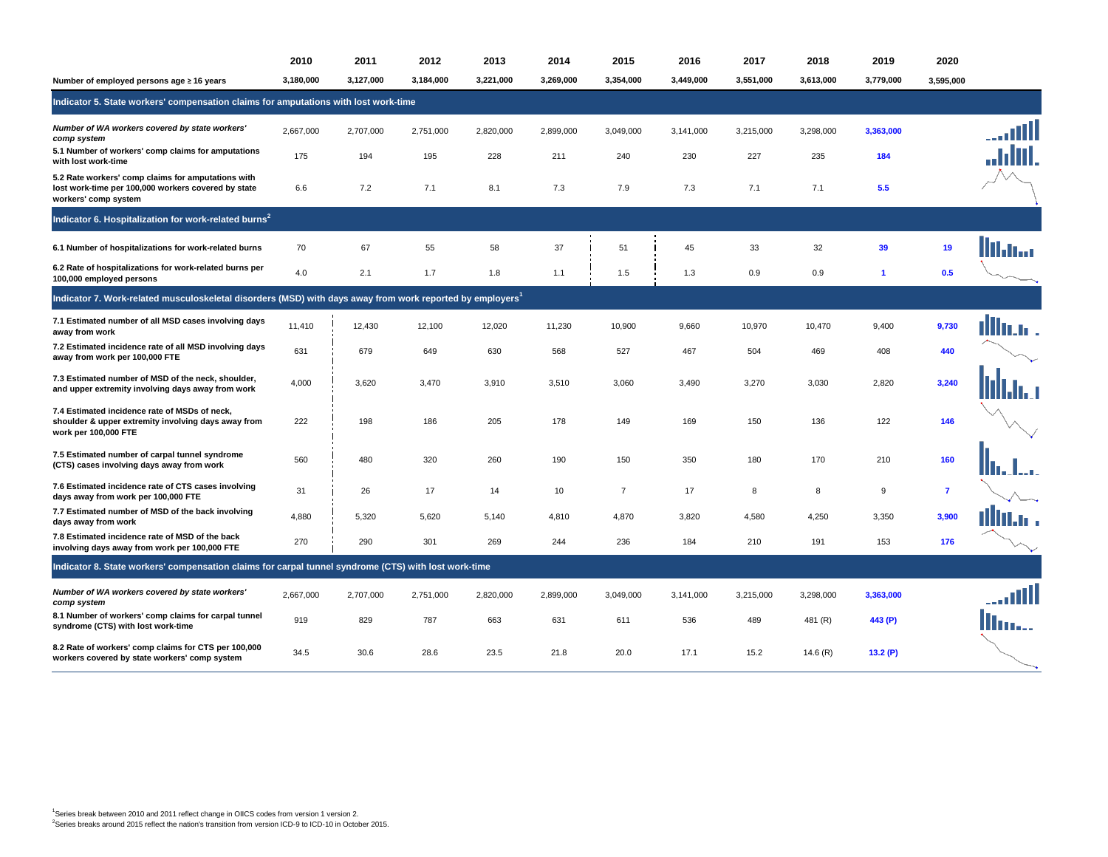|                                                                                                                                   | 2010      | 2011      | 2012      | 2013      | 2014      | 2015           | 2016      | 2017      | 2018      | 2019         | 2020           |         |  |  |
|-----------------------------------------------------------------------------------------------------------------------------------|-----------|-----------|-----------|-----------|-----------|----------------|-----------|-----------|-----------|--------------|----------------|---------|--|--|
| Number of employed persons age ≥ 16 years                                                                                         | 3,180,000 | 3.127.000 | 3,184,000 | 3,221,000 | 3.269.000 | 3,354,000      | 3.449.000 | 3,551,000 | 3.613.000 | 3,779,000    | 3,595,000      |         |  |  |
| Indicator 5. State workers' compensation claims for amputations with lost work-time                                               |           |           |           |           |           |                |           |           |           |              |                |         |  |  |
| Number of WA workers covered by state workers'<br>comp system                                                                     | 2,667,000 | 2,707,000 | 2,751,000 | 2,820,000 | 2,899,000 | 3,049,000      | 3,141,000 | 3,215,000 | 3,298,000 | 3,363,000    |                | III     |  |  |
| 5.1 Number of workers' comp claims for amputations<br>with lost work-time                                                         | 175       | 194       | 195       | 228       | 211       | 240            | 230       | 227       | 235       | 184          |                |         |  |  |
| 5.2 Rate workers' comp claims for amputations with<br>lost work-time per 100,000 workers covered by state<br>workers' comp system | 6.6       | 7.2       | 7.1       | 8.1       | 7.3       | 7.9            | 7.3       | 7.1       | 7.1       | 5.5          |                |         |  |  |
| Indicator 6. Hospitalization for work-related burns <sup>2</sup>                                                                  |           |           |           |           |           |                |           |           |           |              |                |         |  |  |
| 6.1 Number of hospitalizations for work-related burns                                                                             | 70        | 67        | 55        | 58        | 37        | 51             | 45        | 33        | 32        | 39           | 19             | 41. bar |  |  |
| 6.2 Rate of hospitalizations for work-related burns per<br>100,000 employed persons                                               | 4.0       | 2.1       | 1.7       | 1.8       | 1.1       | 1.5            | 1.3       | 0.9       | 0.9       | $\mathbf{1}$ | 0.5            |         |  |  |
| Indicator 7. Work-related musculoskeletal disorders (MSD) with days away from work reported by employers <sup>1</sup>             |           |           |           |           |           |                |           |           |           |              |                |         |  |  |
| 7.1 Estimated number of all MSD cases involving days<br>away from work                                                            | 11,410    | 12,430    | 12,100    | 12,020    | 11,230    | 10,900         | 9,660     | 10,970    | 10,470    | 9,400        | 9,730          |         |  |  |
| 7.2 Estimated incidence rate of all MSD involving days<br>away from work per 100,000 FTE                                          | 631       | 679       | 649       | 630       | 568       | 527            | 467       | 504       | 469       | 408          | 440            |         |  |  |
| 7.3 Estimated number of MSD of the neck, shoulder,<br>and upper extremity involving days away from work                           | 4,000     | 3,620     | 3,470     | 3,910     | 3,510     | 3,060          | 3,490     | 3,270     | 3,030     | 2,820        | 3.240          |         |  |  |
| 7.4 Estimated incidence rate of MSDs of neck,<br>shoulder & upper extremity involving days away from<br>work per 100,000 FTE      | 222       | 198       | 186       | 205       | 178       | 149            | 169       | 150       | 136       | 122          | 146            |         |  |  |
| 7.5 Estimated number of carpal tunnel syndrome<br>(CTS) cases involving days away from work                                       | 560       | 480       | 320       | 260       | 190       | 150            | 350       | 180       | 170       | 210          | 160            |         |  |  |
| 7.6 Estimated incidence rate of CTS cases involving<br>days away from work per 100,000 FTE                                        | 31        | 26        | 17        | 14        | 10        | $\overline{7}$ | 17        | 8         | 8         | 9            | $\overline{7}$ |         |  |  |
| 7.7 Estimated number of MSD of the back involving<br>days away from work                                                          | 4,880     | 5,320     | 5,620     | 5,140     | 4,810     | 4,870          | 3,820     | 4,580     | 4,250     | 3,350        | 3,900          |         |  |  |
| 7.8 Estimated incidence rate of MSD of the back<br>involving days away from work per 100,000 FTE                                  | 270       | 290       | 301       | 269       | 244       | 236            | 184       | 210       | 191       | 153          | 176            |         |  |  |
| Indicator 8. State workers' compensation claims for carpal tunnel syndrome (CTS) with lost work-time                              |           |           |           |           |           |                |           |           |           |              |                |         |  |  |
| Number of WA workers covered by state workers'<br>comp system                                                                     | 2,667,000 | 2,707,000 | 2,751,000 | 2,820,000 | 2,899,000 | 3,049,000      | 3,141,000 | 3,215,000 | 3,298,000 | 3,363,000    |                | all     |  |  |
| 8.1 Number of workers' comp claims for carpal tunnel<br>syndrome (CTS) with lost work-time                                        | 919       | 829       | 787       | 663       | 631       | 611            | 536       | 489       | 481 (R)   | 443 (P)      |                | lina.   |  |  |
| 8.2 Rate of workers' comp claims for CTS per 100,000<br>workers covered by state workers' comp system                             | 34.5      | 30.6      | 28.6      | 23.5      | 21.8      | 20.0           | 17.1      | 15.2      | 14.6(R)   | 13.2(P)      |                |         |  |  |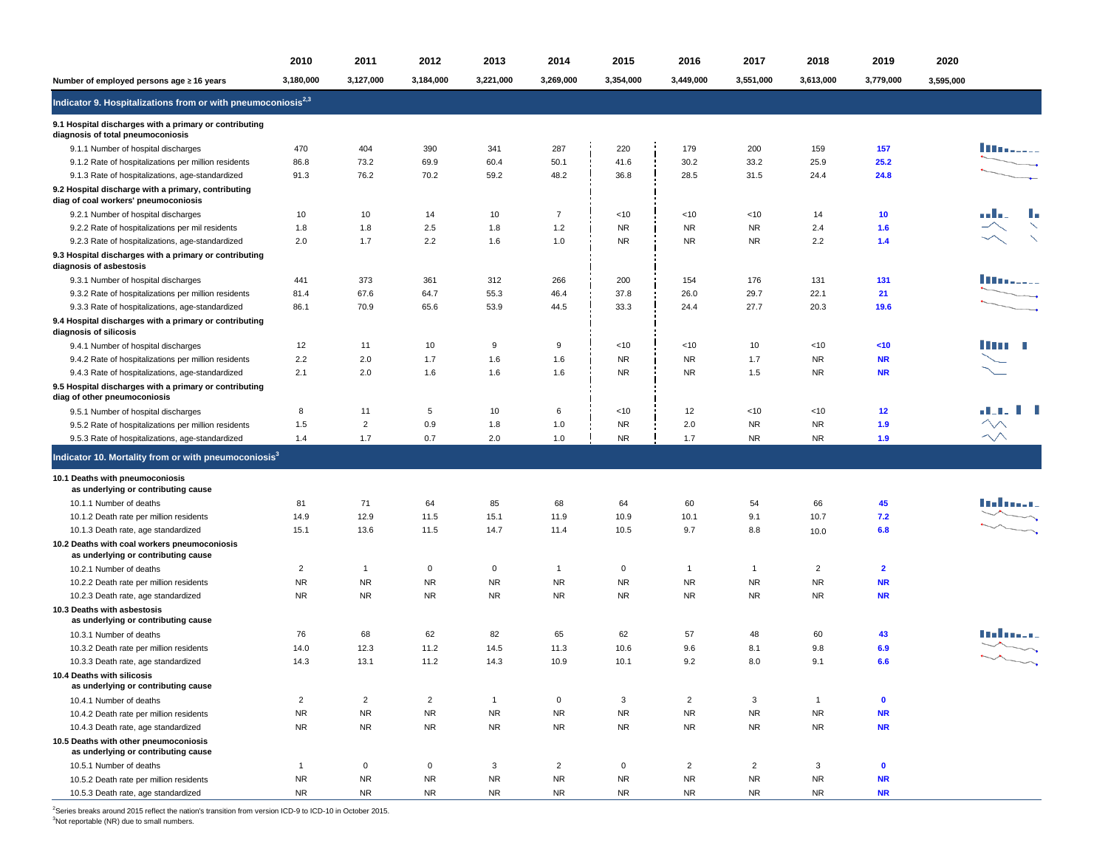|                                                                                             | 2010           | 2011           | 2012           | 2013         | 2014           | 2015        | 2016           | 2017           | 2018           | 2019           | 2020      |                    |
|---------------------------------------------------------------------------------------------|----------------|----------------|----------------|--------------|----------------|-------------|----------------|----------------|----------------|----------------|-----------|--------------------|
| Number of employed persons age ≥ 16 years                                                   | 3,180,000      | 3,127,000      | 3,184,000      | 3,221,000    | 3,269,000      | 3,354,000   | 3,449,000      | 3,551,000      | 3,613,000      | 3,779,000      | 3,595,000 |                    |
| Indicator 9. Hospitalizations from or with pneumoconiosis <sup>2,3</sup>                    |                |                |                |              |                |             |                |                |                |                |           |                    |
| 9.1 Hospital discharges with a primary or contributing<br>diagnosis of total pneumoconiosis |                |                |                |              |                |             |                |                |                |                |           |                    |
| 9.1.1 Number of hospital discharges                                                         | 470            | 404            | 390            | 341          | 287            | 220         | 179            | 200            | 159            | 157            |           | <u> III.aassa</u>  |
| 9.1.2 Rate of hospitalizations per million residents                                        | 86.8           | 73.2           | 69.9           | 60.4         | 50.1           | 41.6        | 30.2           | 33.2           | 25.9           | 25.2           |           |                    |
| 9.1.3 Rate of hospitalizations, age-standardized                                            | 91.3           | 76.2           | 70.2           | 59.2         | 48.2           | 36.8        | 28.5           | 31.5           | 24.4           | 24.8           |           |                    |
| 9.2 Hospital discharge with a primary, contributing<br>diag of coal workers' pneumoconiosis |                |                |                |              |                |             |                |                |                |                |           |                    |
| 9.2.1 Number of hospital discharges                                                         | 10             | 10             | 14             | 10           | $\overline{7}$ | < 10        | <10            | <10            | 14             | 10             |           | m Louis            |
| 9.2.2 Rate of hospitalizations per mil residents                                            | 1.8            | 1.8            | 2.5            | 1.8          | 1.2            | <b>NR</b>   | <b>NR</b>      | <b>NR</b>      | 2.4            | 1.6            |           |                    |
| 9.2.3 Rate of hospitalizations, age-standardized                                            | 2.0            | 1.7            | 2.2            | 1.6          | 1.0            | <b>NR</b>   | <b>NR</b>      | <b>NR</b>      | 2.2            | 1.4            |           |                    |
| 9.3 Hospital discharges with a primary or contributing<br>diagnosis of asbestosis           |                |                |                |              |                |             |                |                |                |                |           |                    |
| 9.3.1 Number of hospital discharges                                                         | 441            | 373            | 361            | 312          | 266            | 200         | 154            | 176            | 131            | 131            |           | inassa.            |
| 9.3.2 Rate of hospitalizations per million residents                                        | 81.4           | 67.6           | 64.7           | 55.3         | 46.4           | 37.8        | 26.0           | 29.7           | 22.1           | 21             |           |                    |
| 9.3.3 Rate of hospitalizations, age-standardized                                            | 86.1           | 70.9           | 65.6           | 53.9         | 44.5           | 33.3        | 24.4           | 27.7           | 20.3           | 19.6           |           |                    |
| 9.4 Hospital discharges with a primary or contributing<br>diagnosis of silicosis            |                |                |                |              |                |             |                |                |                |                |           |                    |
| 9.4.1 Number of hospital discharges                                                         | 12             | 11             | 10             | 9            | 9              | <10         | < 10           | 10             | $<$ 10         | <10            |           | l Timor de         |
| 9.4.2 Rate of hospitalizations per million residents                                        | 2.2            | 2.0            | 1.7            | 1.6          | 1.6            | <b>NR</b>   | <b>NR</b>      | 1.7            | NR             | <b>NR</b>      |           |                    |
| 9.4.3 Rate of hospitalizations, age-standardized                                            | 2.1            | 2.0            | 1.6            | 1.6          | 1.6            | <b>NR</b>   | <b>NR</b>      | 1.5            | <b>NR</b>      | <b>NR</b>      |           |                    |
| 9.5 Hospital discharges with a primary or contributing<br>diag of other pneumoconiosis      |                |                |                |              |                |             |                |                |                |                |           |                    |
| 9.5.1 Number of hospital discharges                                                         | 8              | 11             | 5              | 10           | 6              | <10         | 12             | <10            | <10            | 12             |           | al III di U        |
| 9.5.2 Rate of hospitalizations per million residents                                        | 1.5            | $\overline{2}$ | 0.9            | 1.8          | 1.0            | <b>NR</b>   | 2.0            | <b>NR</b>      | NR.            | 1.9            |           |                    |
| 9.5.3 Rate of hospitalizations, age-standardized                                            | 1.4            | 1.7            | 0.7            | 2.0          | 1.0            | <b>NR</b>   | 1.7            | <b>NR</b>      | NR             | 1.9            |           | $\rightsquigarrow$ |
| Indicator 10. Mortality from or with pneumoconiosis <sup>3</sup>                            |                |                |                |              |                |             |                |                |                |                |           |                    |
| 10.1 Deaths with pneumoconiosis<br>as underlying or contributing cause                      |                |                |                |              |                |             |                |                |                |                |           |                    |
| 10.1.1 Number of deaths                                                                     | 81             | 71             | 64             | 85           | 68             | 64          | 60             | 54             | 66             | 45             |           | in din a seo       |
| 10.1.2 Death rate per million residents                                                     | 14.9           | 12.9           | 11.5           | 15.1         | 11.9           | 10.9        | 10.1           | 9.1            | 10.7           | 7.2            |           |                    |
| 10.1.3 Death rate, age standardized                                                         | 15.1           | 13.6           | 11.5           | 14.7         | 11.4           | 10.5        | 9.7            | 8.8            | 10.0           | 6.8            |           |                    |
| 10.2 Deaths with coal workers pneumoconiosis<br>as underlying or contributing cause         |                |                |                |              |                |             |                |                |                |                |           |                    |
| 10.2.1 Number of deaths                                                                     | $\overline{2}$ | $\overline{1}$ | $\mathbf 0$    | $\mathbf 0$  | $\overline{1}$ | $\mathbf 0$ | $\mathbf{1}$   | $\overline{1}$ | $\overline{2}$ | $\overline{2}$ |           |                    |
| 10.2.2 Death rate per million residents                                                     | <b>NR</b>      | <b>NR</b>      | <b>NR</b>      | <b>NR</b>    | <b>NR</b>      | <b>NR</b>   | <b>NR</b>      | <b>NR</b>      | <b>NR</b>      | <b>NR</b>      |           |                    |
| 10.2.3 Death rate, age standardized                                                         | <b>NR</b>      | <b>NR</b>      | <b>NR</b>      | <b>NR</b>    | <b>NR</b>      | <b>NR</b>   | <b>NR</b>      | <b>NR</b>      | <b>NR</b>      | <b>NR</b>      |           |                    |
| 10.3 Deaths with asbestosis<br>as underlying or contributing cause                          |                |                |                |              |                |             |                |                |                |                |           |                    |
| 10.3.1 Number of deaths                                                                     | 76             | 68             | 62             | 82           | 65             | 62          | 57             | 48             | 60             | 43             |           | talan sa           |
| 10.3.2 Death rate per million residents                                                     | 14.0           | 12.3           | 11.2           | 14.5         | 11.3           | 10.6        | 9.6            | 8.1            | 9.8            | 6.9            |           |                    |
| 10.3.3 Death rate, age standardized                                                         | 14.3           | 13.1           | 11.2           | 14.3         | 10.9           | 10.1        | 9.2            | 8.0            | 9.1            | 6.6            |           |                    |
| 10.4 Deaths with silicosis<br>as underlying or contributing cause                           |                |                |                |              |                |             |                |                |                |                |           |                    |
| 10.4.1 Number of deaths                                                                     | $\overline{2}$ | $\overline{2}$ | $\overline{2}$ | $\mathbf{1}$ | $\mathsf{O}$   | 3           | $\overline{2}$ | 3              | $\mathbf{1}$   | $\mathbf 0$    |           |                    |
| 10.4.2 Death rate per million residents                                                     | ${\sf NR}$     | <b>NR</b>      | <b>NR</b>      | ${\sf NR}$   | <b>NR</b>      | <b>NR</b>   | <b>NR</b>      | <b>NR</b>      | <b>NR</b>      | <b>NR</b>      |           |                    |
| 10.4.3 Death rate, age standardized                                                         | <b>NR</b>      | <b>NR</b>      | <b>NR</b>      | <b>NR</b>    | <b>NR</b>      | <b>NR</b>   | <b>NR</b>      | <b>NR</b>      | <b>NR</b>      | <b>NR</b>      |           |                    |
| 10.5 Deaths with other pneumoconiosis<br>as underlying or contributing cause                |                |                |                |              |                |             |                |                |                |                |           |                    |
| 10.5.1 Number of deaths                                                                     | $\mathbf{1}$   | $\mathbf 0$    | $\mathbf 0$    | 3            | $\overline{2}$ | $\mathbf 0$ | $\overline{2}$ | $\overline{2}$ | 3              | $\bullet$      |           |                    |
| 10.5.2 Death rate per million residents                                                     | <b>NR</b>      | <b>NR</b>      | <b>NR</b>      | ${\sf NR}$   | <b>NR</b>      | <b>NR</b>   | <b>NR</b>      | <b>NR</b>      | <b>NR</b>      | <b>NR</b>      |           |                    |
| 10.5.3 Death rate, age standardized                                                         | <b>NR</b>      | <b>NR</b>      | <b>NR</b>      | <b>NR</b>    | <b>NR</b>      | <b>NR</b>   | <b>NR</b>      | <b>NR</b>      | <b>NR</b>      | <b>NR</b>      |           |                    |

<sup>2</sup>Series breaks around 2015 reflect the nation's transition from version ICD-9 to ICD-10 in October 2015.

 $3$ Not reportable (NR) due to small numbers.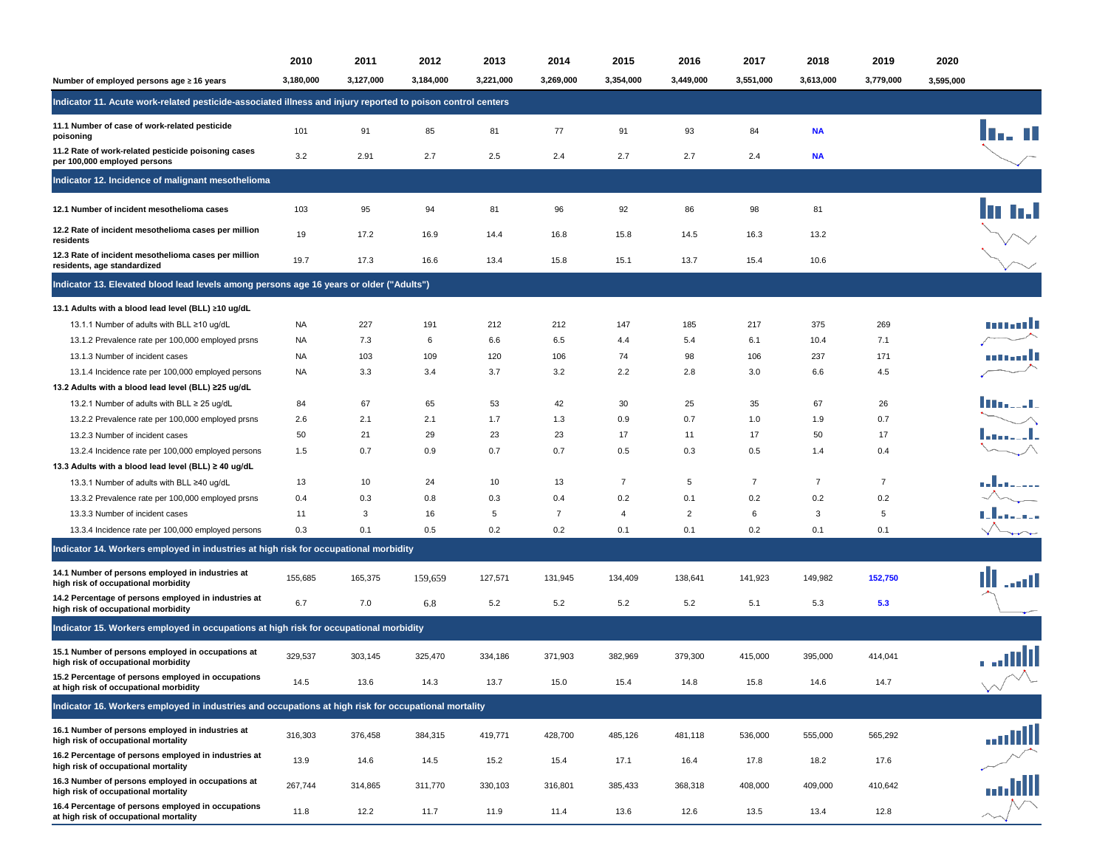|                                                                                                             | 2010      | 2011      | 2012      | 2013      | 2014           | 2015           | 2016           | 2017           | 2018           | 2019           | 2020      |                                    |
|-------------------------------------------------------------------------------------------------------------|-----------|-----------|-----------|-----------|----------------|----------------|----------------|----------------|----------------|----------------|-----------|------------------------------------|
| Number of employed persons age ≥ 16 years                                                                   | 3,180,000 | 3,127,000 | 3,184,000 | 3,221,000 | 3,269,000      | 3,354,000      | 3,449,000      | 3,551,000      | 3,613,000      | 3,779,000      | 3,595,000 |                                    |
| Indicator 11. Acute work-related pesticide-associated illness and injury reported to poison control centers |           |           |           |           |                |                |                |                |                |                |           |                                    |
| 11.1 Number of case of work-related pesticide<br>poisoning                                                  | 101       | 91        | 85        | 81        | 77             | 91             | 93             | 84             | <b>NA</b>      |                |           | n - 11                             |
| 11.2 Rate of work-related pesticide poisoning cases<br>per 100,000 employed persons                         | 3.2       | 2.91      | 2.7       | 2.5       | 2.4            | 2.7            | 2.7            | 2.4            | <b>NA</b>      |                |           |                                    |
| Indicator 12. Incidence of malignant mesothelioma                                                           |           |           |           |           |                |                |                |                |                |                |           |                                    |
| 12.1 Number of incident mesothelioma cases                                                                  | 103       | 95        | 94        | 81        | 96             | 92             | 86             | 98             | 81             |                |           |                                    |
| 12.2 Rate of incident mesothelioma cases per million<br>residents                                           | 19        | 17.2      | 16.9      | 14.4      | 16.8           | 15.8           | 14.5           | 16.3           | 13.2           |                |           |                                    |
| 12.3 Rate of incident mesothelioma cases per million<br>residents, age standardized                         | 19.7      | 17.3      | 16.6      | 13.4      | 15.8           | 15.1           | 13.7           | 15.4           | 10.6           |                |           |                                    |
| Indicator 13. Elevated blood lead levels among persons age 16 years or older ("Adults")                     |           |           |           |           |                |                |                |                |                |                |           |                                    |
| 13.1 Adults with a blood lead level (BLL) ≥10 ug/dL                                                         |           |           |           |           |                |                |                |                |                |                |           |                                    |
| 13.1.1 Number of adults with BLL ≥10 ug/dL                                                                  | <b>NA</b> | 227       | 191       | 212       | 212            | 147            | 185            | 217            | 375            | 269            |           | tu ta 111                          |
| 13.1.2 Prevalence rate per 100,000 employed prsns                                                           | NA        | 7.3       | 6         | 6.6       | 6.5            | 4.4            | 5.4            | 6.1            | 10.4           | 7.1            |           |                                    |
| 13.1.3 Number of incident cases                                                                             | <b>NA</b> | 103       | 109       | 120       | 106            | 74             | 98             | 106            | 237            | 171            |           | mandi                              |
| 13.1.4 Incidence rate per 100,000 employed persons                                                          | <b>NA</b> | 3.3       | 3.4       | 3.7       | 3.2            | 2.2            | 2.8            | 3.0            | 6.6            | 4.5            |           |                                    |
| 13.2 Adults with a blood lead level (BLL) ≥25 ug/dL                                                         |           |           |           |           |                |                |                |                |                |                |           |                                    |
| 13.2.1 Number of adults with BLL ≥ 25 ug/dL                                                                 | 84        | 67        | 65        | 53        | 42             | 30             | 25             | 35             | 67             | 26             |           |                                    |
| 13.2.2 Prevalence rate per 100,000 employed prsns                                                           | 2.6       | 2.1       | 2.1       | 1.7       | 1.3            | 0.9            | 0.7            | 1.0            | 1.9            | 0.7            |           |                                    |
| 13.2.3 Number of incident cases                                                                             | 50        | 21        | 29        | 23        | 23             | 17             | 11             | 17             | 50             | 17             |           |                                    |
| 13.2.4 Incidence rate per 100,000 employed persons                                                          | 1.5       | 0.7       | 0.9       | 0.7       | 0.7            | 0.5            | 0.3            | 0.5            | 1.4            | 0.4            |           |                                    |
| 13.3 Adults with a blood lead level (BLL) ≥ 40 ug/dL                                                        |           |           |           |           |                |                |                |                |                |                |           |                                    |
| 13.3.1 Number of adults with BLL ≥40 ug/dL                                                                  | 13        | 10        | 24        | 10        | 13             | $\overline{7}$ | 5              | $\overline{7}$ | $\overline{7}$ | $\overline{7}$ |           |                                    |
| 13.3.2 Prevalence rate per 100,000 employed prsns                                                           | 0.4       | 0.3       | 0.8       | 0.3       | 0.4            | 0.2            | 0.1            | 0.2            | 0.2            | 0.2            |           | l <sub></sub><br>-∕                |
| 13.3.3 Number of incident cases                                                                             | 11        | 3         | 16        | 5         | $\overline{7}$ | 4              | $\overline{2}$ | 6              | 3              | 5              |           | Ladera                             |
|                                                                                                             | 0.3       | 0.1       | 0.5       | 0.2       | 0.2            | 0.1            | 0.1            | 0.2            | 0.1            | 0.1            |           |                                    |
| 13.3.4 Incidence rate per 100,000 employed persons                                                          |           |           |           |           |                |                |                |                |                |                |           |                                    |
| Indicator 14. Workers employed in industries at high risk for occupational morbidity                        |           |           |           |           |                |                |                |                |                |                |           |                                    |
| 14.1 Number of persons employed in industries at<br>high risk of occupational morbidity                     | 155,685   | 165,375   | 159,659   | 127,571   | 131,945        | 134,409        | 138,641        | 141,923        | 149,982        | 152,750        |           | اللب                               |
| 14.2 Percentage of persons employed in industries at<br>high risk of occupational morbidity                 | 6.7       | 7.0       | 6.8       | 5.2       | 5.2            | 5.2            | 5.2            | 5.1            | 5.3            | 5.3            |           |                                    |
| Indicator 15. Workers employed in occupations at high risk for occupational morbidity                       |           |           |           |           |                |                |                |                |                |                |           |                                    |
| 15.1 Number of persons employed in occupations at<br>high risk of occupational morbidity                    | 329,537   | 303,145   | 325,470   | 334,186   | 371,903        | 382,969        | 379,300        | 415,000        | 395,000        | 414,041        |           | ad II                              |
| 15.2 Percentage of persons employed in occupations<br>at high risk of occupational morbidity                | 14.5      | 13.6      | 14.3      | 13.7      | 15.0           | 15.4           | 14.8           | 15.8           | 14.6           | 14.7           |           | $\vee$                             |
| Indicator 16. Workers employed in industries and occupations at high risk for occupational mortality        |           |           |           |           |                |                |                |                |                |                |           |                                    |
| 16.1 Number of persons employed in industries at<br>high risk of occupational mortality                     | 316,303   | 376,458   | 384,315   | 419,771   | 428,700        | 485,126        | 481,118        | 536,000        | 555,000        | 565,292        |           | niill                              |
| 16.2 Percentage of persons employed in industries at<br>high risk of occupational mortality                 | 13.9      | 14.6      | 14.5      | 15.2      | 15.4           | 17.1           | 16.4           | 17.8           | 18.2           | 17.6           |           |                                    |
| 16.3 Number of persons employed in occupations at<br>high risk of occupational mortality                    | 267,744   | 314,865   | 311,770   | 330,103   | 316,801        | 385,433        | 368,318        | 408,000        | 409,000        | 410,642        |           | $\mathcal{L} \setminus \mathbb{R}$ |
| 16.4 Percentage of persons employed in occupations<br>at high risk of occupational mortality                | 11.8      | 12.2      | 11.7      | 11.9      | 11.4           | 13.6           | 12.6           | 13.5           | 13.4           | 12.8           |           |                                    |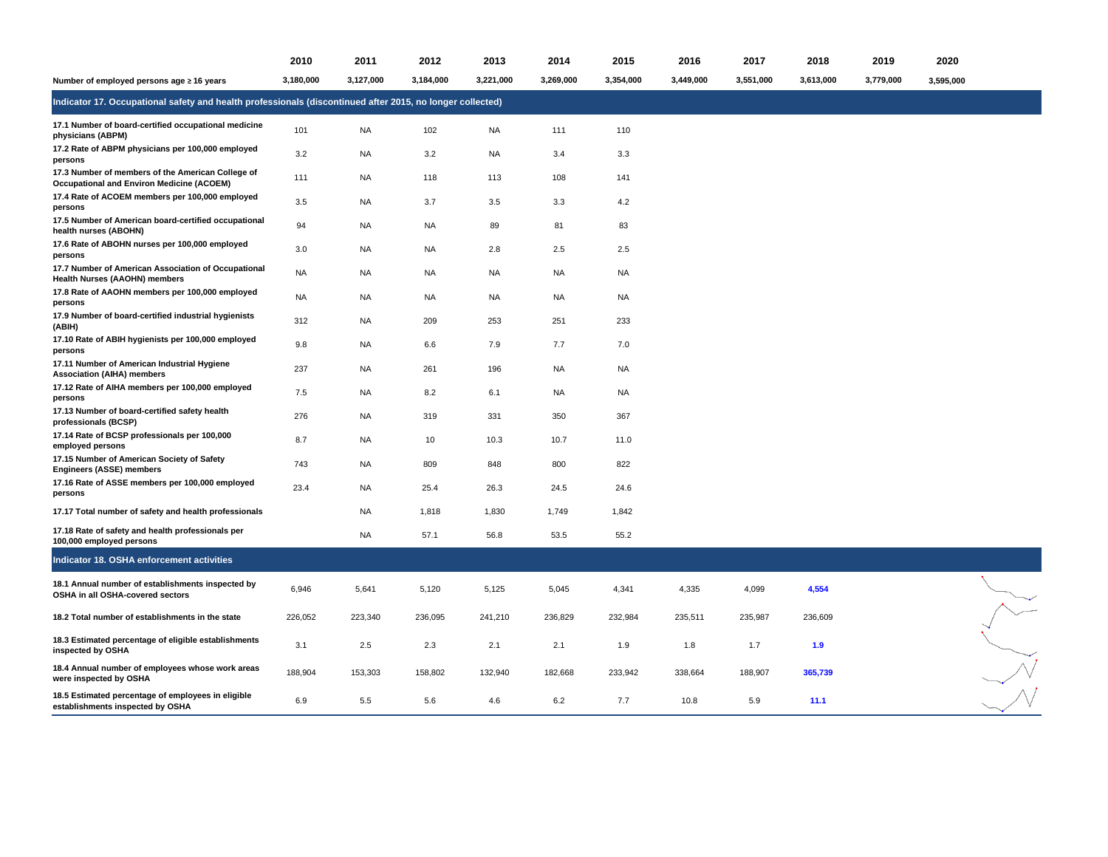|                                                                                                           | 2010      | 2011      | 2012      | 2013      | 2014      | 2015      | 2016      | 2017      | 2018      | 2019      | 2020      |  |
|-----------------------------------------------------------------------------------------------------------|-----------|-----------|-----------|-----------|-----------|-----------|-----------|-----------|-----------|-----------|-----------|--|
| Number of employed persons age ≥ 16 years                                                                 | 3,180,000 | 3,127,000 | 3,184,000 | 3,221,000 | 3,269,000 | 3,354,000 | 3,449,000 | 3,551,000 | 3,613,000 | 3,779,000 | 3,595,000 |  |
| Indicator 17. Occupational safety and health professionals (discontinued after 2015, no longer collected) |           |           |           |           |           |           |           |           |           |           |           |  |
| 17.1 Number of board-certified occupational medicine<br>physicians (ABPM)                                 | 101       | NA        | 102       | <b>NA</b> | 111       | 110       |           |           |           |           |           |  |
| 17.2 Rate of ABPM physicians per 100,000 employed<br>persons                                              | 3.2       | NA        | 3.2       | NA        | 3.4       | 3.3       |           |           |           |           |           |  |
| 17.3 Number of members of the American College of<br><b>Occupational and Environ Medicine (ACOEM)</b>     | 111       | <b>NA</b> | 118       | 113       | 108       | 141       |           |           |           |           |           |  |
| 17.4 Rate of ACOEM members per 100,000 employed<br>persons                                                | 3.5       | NA        | 3.7       | 3.5       | 3.3       | 4.2       |           |           |           |           |           |  |
| 17.5 Number of American board-certified occupational<br>health nurses (ABOHN)                             | 94        | NA        | <b>NA</b> | 89        | 81        | 83        |           |           |           |           |           |  |
| 17.6 Rate of ABOHN nurses per 100,000 employed<br>persons                                                 | 3.0       | <b>NA</b> | <b>NA</b> | 2.8       | 2.5       | 2.5       |           |           |           |           |           |  |
| 17.7 Number of American Association of Occupational<br>Health Nurses (AAOHN) members                      | <b>NA</b> | <b>NA</b> | <b>NA</b> | <b>NA</b> | <b>NA</b> | <b>NA</b> |           |           |           |           |           |  |
| 17.8 Rate of AAOHN members per 100,000 employed<br>persons                                                | NA        | NA        | <b>NA</b> | NA        | NA        | <b>NA</b> |           |           |           |           |           |  |
| 17.9 Number of board-certified industrial hygienists<br>(ABIH)                                            | 312       | <b>NA</b> | 209       | 253       | 251       | 233       |           |           |           |           |           |  |
| 17.10 Rate of ABIH hygienists per 100,000 employed<br>persons                                             | 9.8       | <b>NA</b> | 6.6       | 7.9       | 7.7       | 7.0       |           |           |           |           |           |  |
| 17.11 Number of American Industrial Hygiene<br><b>Association (AIHA) members</b>                          | 237       | <b>NA</b> | 261       | 196       | <b>NA</b> | <b>NA</b> |           |           |           |           |           |  |
| 17.12 Rate of AIHA members per 100,000 employed<br>persons                                                | 7.5       | NA        | 8.2       | 6.1       | NA        | <b>NA</b> |           |           |           |           |           |  |
| 17.13 Number of board-certified safety health<br>professionals (BCSP)                                     | 276       | NA        | 319       | 331       | 350       | 367       |           |           |           |           |           |  |
| 17.14 Rate of BCSP professionals per 100,000<br>employed persons                                          | 8.7       | <b>NA</b> | 10        | 10.3      | 10.7      | 11.0      |           |           |           |           |           |  |
| 17.15 Number of American Society of Safety<br>Engineers (ASSE) members                                    | 743       | NA        | 809       | 848       | 800       | 822       |           |           |           |           |           |  |
| 17.16 Rate of ASSE members per 100,000 employed<br>persons                                                | 23.4      | NA        | 25.4      | 26.3      | 24.5      | 24.6      |           |           |           |           |           |  |
| 17.17 Total number of safety and health professionals                                                     |           | NA        | 1,818     | 1,830     | 1,749     | 1,842     |           |           |           |           |           |  |
| 17.18 Rate of safety and health professionals per<br>100,000 employed persons                             |           | <b>NA</b> | 57.1      | 56.8      | 53.5      | 55.2      |           |           |           |           |           |  |
| Indicator 18. OSHA enforcement activities                                                                 |           |           |           |           |           |           |           |           |           |           |           |  |
| 18.1 Annual number of establishments inspected by<br>OSHA in all OSHA-covered sectors                     | 6,946     | 5,641     | 5,120     | 5,125     | 5,045     | 4,341     | 4,335     | 4,099     | 4,554     |           |           |  |
| 18.2 Total number of establishments in the state                                                          | 226,052   | 223,340   | 236,095   | 241,210   | 236,829   | 232,984   | 235,511   | 235,987   | 236,609   |           |           |  |
| 18.3 Estimated percentage of eligible establishments<br>inspected by OSHA                                 | 3.1       | 2.5       | 2.3       | 2.1       | 2.1       | 1.9       | 1.8       | 1.7       | 1.9       |           |           |  |
| 18.4 Annual number of employees whose work areas<br>were inspected by OSHA                                | 188,904   | 153,303   | 158,802   | 132,940   | 182,668   | 233,942   | 338,664   | 188,907   | 365,739   |           |           |  |
| 18.5 Estimated percentage of employees in eligible<br>establishments inspected by OSHA                    | 6.9       | 5.5       | 5.6       | 4.6       | 6.2       | 7.7       | 10.8      | 5.9       | 11.1      |           |           |  |